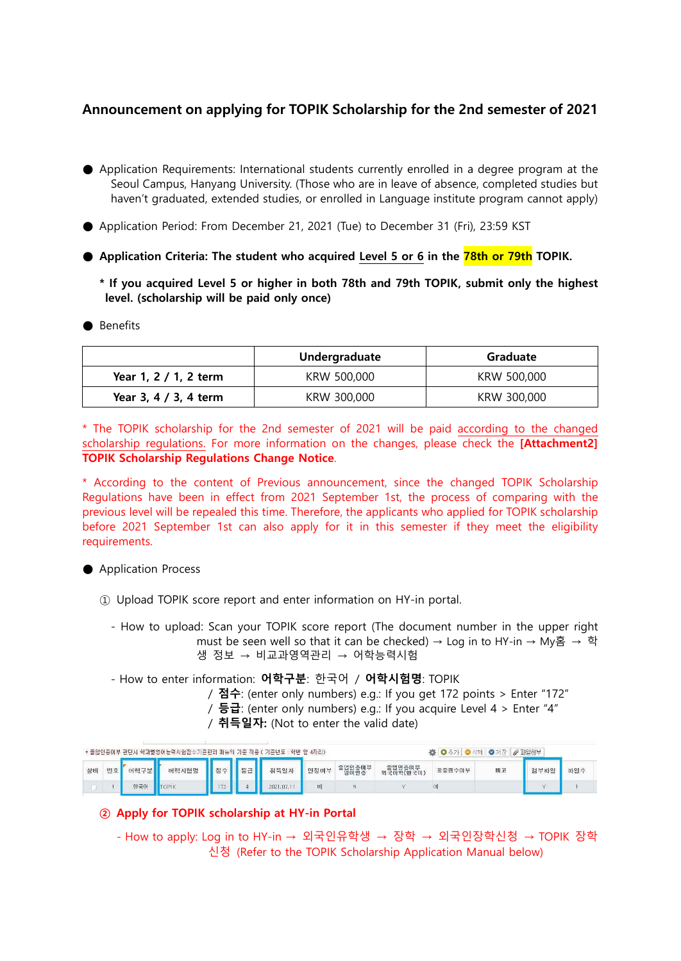## **Announcement on applying for TOPIK Scholarship for the 2nd semester of 2021**

- Application Requirements: International students currently enrolled in a degree program at the Seoul Campus, Hanyang University. (Those who are in leave of absence, completed studies but haven't graduated, extended studies, or enrolled in Language institute program cannot apply)
- Application Period: From December 21, 2021 (Tue) to December 31 (Fri), 23:59 KST
- **Application Criteria: The student who acquired Level 5 or 6 in the 78th or 79th TOPIK.**
	- **\* If you acquired Level 5 or higher in both 78th and 79th TOPIK, submit only the highest level. (scholarship will be paid only once)**

#### ● Benefits

|                       | Undergraduate | Graduate    |  |  |
|-----------------------|---------------|-------------|--|--|
| Year 1, 2 / 1, 2 term | KRW 500,000   | KRW 500,000 |  |  |
| Year 3, 4 / 3, 4 term | KRW 300,000   | KRW 300,000 |  |  |

\* The TOPIK scholarship for the 2nd semester of 2021 will be paid according to the changed scholarship regulations. For more information on the changes, please check the **[Attachment2] TOPIK Scholarship Regulations Change Notice**.

\* According to the content of Previous announcement, since the changed TOPIK Scholarship Regulations have been in effect from 2021 September 1st, the process of comparing with the previous level will be repealed this time. Therefore, the applicants who applied for TOPIK scholarship before 2021 September 1st can also apply for it in this semester if they meet the eligibility requirements.

### ● Application Process

- ① Upload TOPIK score report and enter information on HY-in portal.
	- How to upload: Scan your TOPIK score report (The document number in the upper right must be seen well so that it can be checked) → Log in to HY-in → My홈 → 학 생 정보 → 비교과영역관리 → 어학능력시험

- How to enter information: **어학구분**: 한국어 / **어학시험명**: TOPIK

- / **점수**: (enter only numbers) e.g.: If you get 172 points > Enter "172"
- / **등급**: (enter only numbers) e.g.: If you acquire Level 4 > Enter "4"
- / **취득일자:** (Not to enter the valid date)

|    |    |      | · 졸업인증여부 판단시 학과별영어능력시험점수기준관리 매뉴의 기준 적용 ( 기준년도 : 학번 앞 4자리) |            |    |          |      |                |        | ●对对<br>그 스크레 | $\mathscr{O}$ 파일첨부 |     |
|----|----|------|-----------------------------------------------------------|------------|----|----------|------|----------------|--------|--------------|--------------------|-----|
| 상태 | 버호 | N하구부 | 어학시험명                                                     | <b>N스니</b> | 53 | 취득일자     | 인정며부 | 졸업인증이부<br>영어인증 | 최종점수미부 | 비고           | 청부파일               | 파일수 |
|    |    | 한국0  |                                                           |            |    | 2821.07. | 예    |                | 뗴      |              |                    |     |

### **② Apply for TOPIK scholarship at HY-in Portal**

- How to apply: Log in to HY-in → 외국인유학생 → 장학 → 외국인장학신청 → TOPIK 장학 신청 (Refer to the TOPIK Scholarship Application Manual below)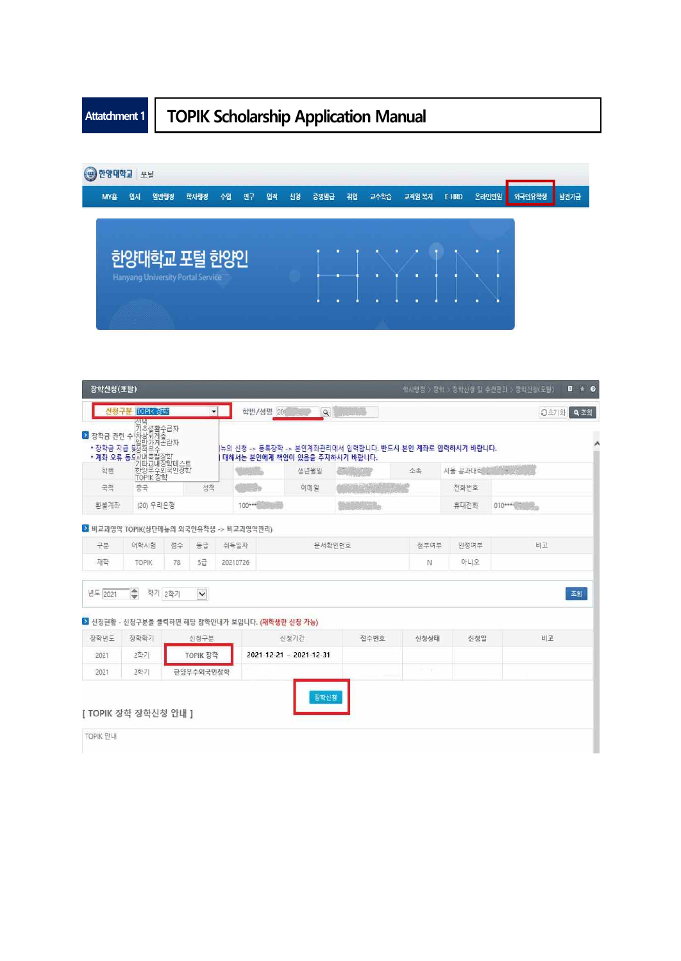# **Attatchment 1 TOPIK Scholarship Application Manual**



|          | 신청구분 TOPIK 상학                                                                                                                                                                                                                         |     | $\cdot$     |          | 학번/성명 20                                                                                 | $\alpha$<br><b>Report Follow</b> |               |         | Q조회<br>○초기화 |  |
|----------|---------------------------------------------------------------------------------------------------------------------------------------------------------------------------------------------------------------------------------------|-----|-------------|----------|------------------------------------------------------------------------------------------|----------------------------------|---------------|---------|-------------|--|
|          | . 기초생활수급자<br><mark>2</mark> 장학금 관련 수(차상위계층<br>- 자하크 지금 님을방강계 <sup>곤</sup> 란자<br>,금 관련 수(차승.,<br>상학금 지급 무성적우수 장학<br><b>- 계좌 오류 등</b> 의 대부별성학대<br>- <b>계좌 오류 등 미</b> 리트교내장학대<br>- 한양우수의국인정학<br>- 한양우수의국인정학<br>- TIOPIK 정학<br>- 그<br>- 그 |     |             |          | 뉴의 신청 -> 동록장학 -> 본인계좌관리에서 입력합니다. 반드시 본인 계좌로 입력하시기 바랍니다.<br>대해서는 본인에게 책임이 있음을 주지하시기 바랍니다. |                                  |               |         |             |  |
|          |                                                                                                                                                                                                                                       |     |             |          | 생년월일                                                                                     |                                  | 소속            | 서울 공과대학 | 1 世代        |  |
|          |                                                                                                                                                                                                                                       |     | 성적          |          | 이메일                                                                                      |                                  |               | 전화번호    |             |  |
| 환불계좌     | (20) 우리은행                                                                                                                                                                                                                             |     |             |          | 100***                                                                                   |                                  |               | 휴대전화    |             |  |
|          | 2 비교과영역 TOPIK(상단메뉴의 외국인유학생 -> 비교과영역관리)                                                                                                                                                                                                |     |             |          |                                                                                          |                                  |               |         |             |  |
| 구분       | 어학시험                                                                                                                                                                                                                                  | 점수  | 등급          | 취득일자     |                                                                                          | 문서확인번호                           | 첨부여부          | 인정여부    | 비고          |  |
| 재학       | <b>TOPIK</b>                                                                                                                                                                                                                          | 78  | 5급          | 20210726 |                                                                                          |                                  | N             | 아니오     |             |  |
|          |                                                                                                                                                                                                                                       |     |             |          |                                                                                          |                                  |               |         |             |  |
| 년도 2021  | ♦<br>학기                                                                                                                                                                                                                               | 2학기 | $\check{~}$ |          |                                                                                          |                                  |               |         | 조회          |  |
|          |                                                                                                                                                                                                                                       |     |             |          | 2 신청현황 - 신청구분을 클릭하면 해당 장학안내가 보입니다. (재학생만 신청 가능)                                          |                                  |               |         |             |  |
| 장학년도     | 장학학기                                                                                                                                                                                                                                  |     | 산정구분        |          | 신청기간                                                                                     | 접수번호                             | 신청상태          | 신청일     | 비고          |  |
| 2021     | 2학기                                                                                                                                                                                                                                   |     | TOPIK 장학    |          | 2021-12-21 ~ 2021-12-31                                                                  |                                  |               |         |             |  |
| 2021     | 2학기                                                                                                                                                                                                                                   |     | 한양우수외국인장학   |          |                                                                                          |                                  | $\sim$ $\sim$ |         |             |  |
| TOPIK 안내 | [ TOPIK 장학 장학신청 안내 ]                                                                                                                                                                                                                  |     |             |          |                                                                                          | 잠학신청                             |               |         |             |  |